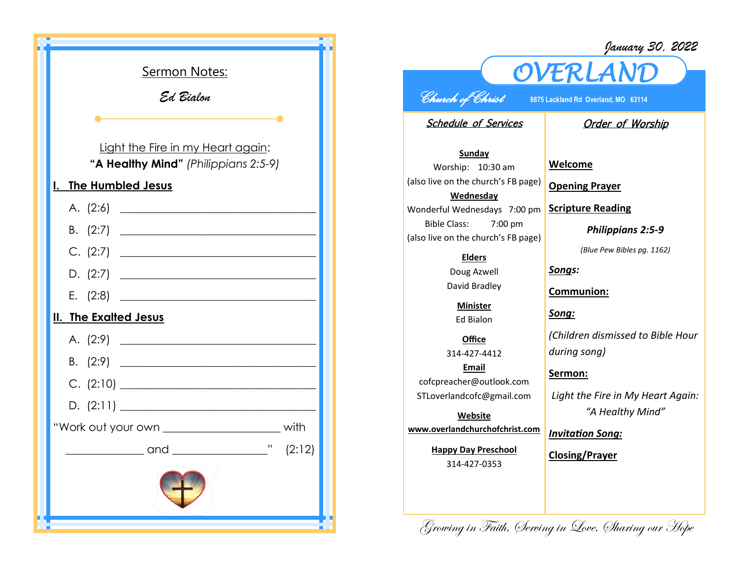| <b>Sermon Notes:</b>                                                                                                                  |
|---------------------------------------------------------------------------------------------------------------------------------------|
| Ed Bialon                                                                                                                             |
|                                                                                                                                       |
|                                                                                                                                       |
| Light the Fire in my Heart again:<br>"A Healthy Mind" (Philippians 2:5-9)                                                             |
| <b>The Humbled Jesus</b><br>$\mathbf{l}$ .                                                                                            |
| A. $(2.6)$                                                                                                                            |
|                                                                                                                                       |
| C. (2:7)                                                                                                                              |
| D. $(2:7)$                                                                                                                            |
| E. $(2:8)$<br><u> 1989 - Johann Stoff, deutscher Stoffen und der Stoffen und der Stoffen und der Stoffen und der Stoffen und der </u> |
| II. The Exalted Jesus                                                                                                                 |
|                                                                                                                                       |
| В.                                                                                                                                    |
| C. (2:10)                                                                                                                             |
|                                                                                                                                       |
| "Work out your own ________________________ with                                                                                      |
| $\frac{1}{2}$ (2:12)<br>____and _                                                                                                     |
|                                                                                                                                       |

## *January 30, 2022*



## *Church of Christ* **8875 Lackland Rd Overland, MO 63114**

Schedule of Services

## Order of Worship

**Sunday** Worship: 10:30 am (also live on the church's FB page) **Wednesday** Wonderful Wednesdays 7:00 pm Bible Class: 7:00 pm (also live on the church's FB page)

## **Elders**

Doug Azwell David Bradley

**Minister** Ed Bialon

**Office** 314-427-4412 **Email** cofcpreacher@outlook.com STLoverlandcofc@gmail.com

**Website www.overlandchurchofchrist.com**

> **Happy Day Preschool** 314-427-0353

**Welcome**

**Opening Prayer**

**Scripture Reading**

*Philippians 2:5-9*

*(Blue Pew Bibles pg. 1162)*

*Songs:*

**Communion:**

*Song:*

*(Children dismissed to Bible Hour during song)*

**Sermon:** 

*Light the Fire in My Heart Again: "A Healthy Mind"*

*Invitation Song:*

**Closing/Prayer**

Growing in Faith, Serving in Love, Sharing our Hope